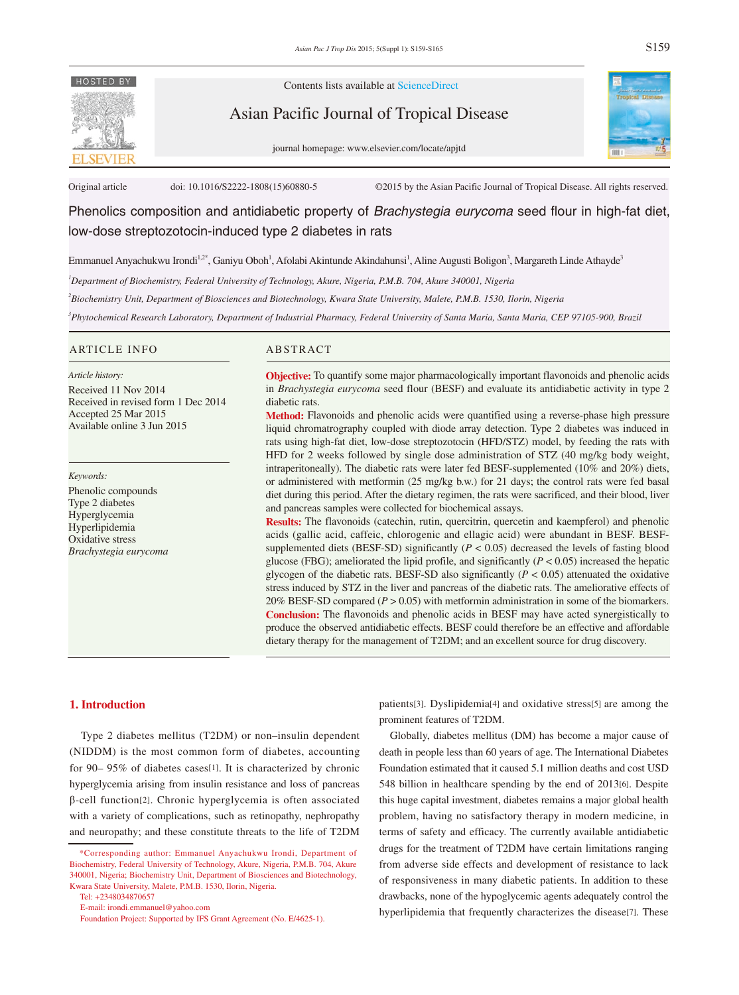

Contents lists available at ScienceDirect

Asian Pacific Journal of Tropical Disease





Original article doi: 10.1016/S2222-1808(15)60880-5 ©2015 by the Asian Pacific Journal of Tropical Disease. All rights reserved.

Phenolics composition and antidiabetic property of *Brachystegia eurycoma* seed flour in high-fat diet, low-dose streptozotocin-induced type 2 diabetes in rats

Emmanuel Anyachukwu Irondi<sup>1,2\*</sup>, Ganiyu Oboh<sup>1</sup>, Afolabi Akintunde Akindahunsi<sup>1</sup>, Aline Augusti Boligon<sup>3</sup>, Margareth Linde Athayde<sup>3</sup>

*1 Department of Biochemistry, Federal University of Technology, Akure, Nigeria, P.M.B. 704, Akure 340001, Nigeria*

*2 Biochemistry Unit, Department of Biosciences and Biotechnology, Kwara State University, Malete, P.M.B. 1530, Ilorin, Nigeria*

*3 Phytochemical Research Laboratory, Department of Industrial Pharmacy, Federal University of Santa Maria, Santa Maria, CEP 97105-900, Brazil*

#### ARTICLE INFO ABSTRACT

#### *Article history:*

Received 11 Nov 2014 Received in revised form 1 Dec 2014 Accepted 25 Mar 2015 Available online 3 Jun 2015

*Keywords:*

Phenolic compounds Type 2 diabetes Hyperglycemia Hyperlipidemia Oxidative stress *Brachystegia eurycoma*

**Objective:** To quantify some major pharmacologically important flavonoids and phenolic acids in *Brachystegia eurycoma* seed flour (BESF) and evaluate its antidiabetic activity in type 2 diabetic rats.

**Method:** Flavonoids and phenolic acids were quantified using a reverse-phase high pressure liquid chromatrography coupled with diode array detection. Type 2 diabetes was induced in rats using high-fat diet, low-dose streptozotocin (HFD/STZ) model, by feeding the rats with HFD for 2 weeks followed by single dose administration of STZ (40 mg/kg body weight, intraperitoneally). The diabetic rats were later fed BESF-supplemented (10% and 20%) diets, or administered with metformin (25 mg/kg b.w.) for 21 days; the control rats were fed basal diet during this period. After the dietary regimen, the rats were sacrificed, and their blood, liver and pancreas samples were collected for biochemical assays.

**Results:** The flavonoids (catechin, rutin, quercitrin, quercetin and kaempferol) and phenolic acids (gallic acid, caffeic, chlorogenic and ellagic acid) were abundant in BESF. BESFsupplemented diets (BESF-SD) significantly (*P* < 0.05) decreased the levels of fasting blood glucose (FBG); ameliorated the lipid profile, and significantly  $(P < 0.05)$  increased the hepatic glycogen of the diabetic rats. BESF-SD also significantly  $(P < 0.05)$  attenuated the oxidative stress induced by STZ in the liver and pancreas of the diabetic rats. The ameliorative effects of 20% BESF-SD compared (*P* > 0.05) with metformin administration in some of the biomarkers. **Conclusion:** The flavonoids and phenolic acids in BESF may have acted synergistically to produce the observed antidiabetic effects. BESF could therefore be an effective and affordable dietary therapy for the management of T2DM; and an excellent source for drug discovery.

### **1. Introduction**

 Type 2 diabetes mellitus (T2DM) or non*–*insulin dependent (NIDDM) is the most common form of diabetes, accounting for 90– 95% of diabetes cases[1]. It is characterized by chronic hyperglycemia arising from insulin resistance and loss of pancreas β-cell function[2]. Chronic hyperglycemia is often associated with a variety of complications, such as retinopathy, nephropathy and neuropathy; and these constitute threats to the life of T2DM

Tel: +2348034870657

E-mail: irondi.emmanuel@yahoo.com

patients[3]. Dyslipidemia[4] and oxidative stress[5] are among the prominent features of T2DM.

 Globally, diabetes mellitus (DM) has become a major cause of death in people less than 60 years of age. The International Diabetes Foundation estimated that it caused 5.1 million deaths and cost USD 548 billion in healthcare spending by the end of 2013[6]. Despite this huge capital investment, diabetes remains a major global health problem, having no satisfactory therapy in modern medicine, in terms of safety and efficacy. The currently available antidiabetic drugs for the treatment of T2DM have certain limitations ranging from adverse side effects and development of resistance to lack of responsiveness in many diabetic patients. In addition to these drawbacks, none of the hypoglycemic agents adequately control the hyperlipidemia that frequently characterizes the disease[7]. These

 <sup>\*</sup>Corresponding author: Emmanuel Anyachukwu Irondi, Department of Biochemistry, Federal University of Technology, Akure, Nigeria, P.M.B. 704, Akure 340001, Nigeria; Biochemistry Unit, Department of Biosciences and Biotechnology, Kwara State University, Malete, P.M.B. 1530, Ilorin, Nigeria.

Foundation Project: Supported by IFS Grant Agreement (No. E/4625-1).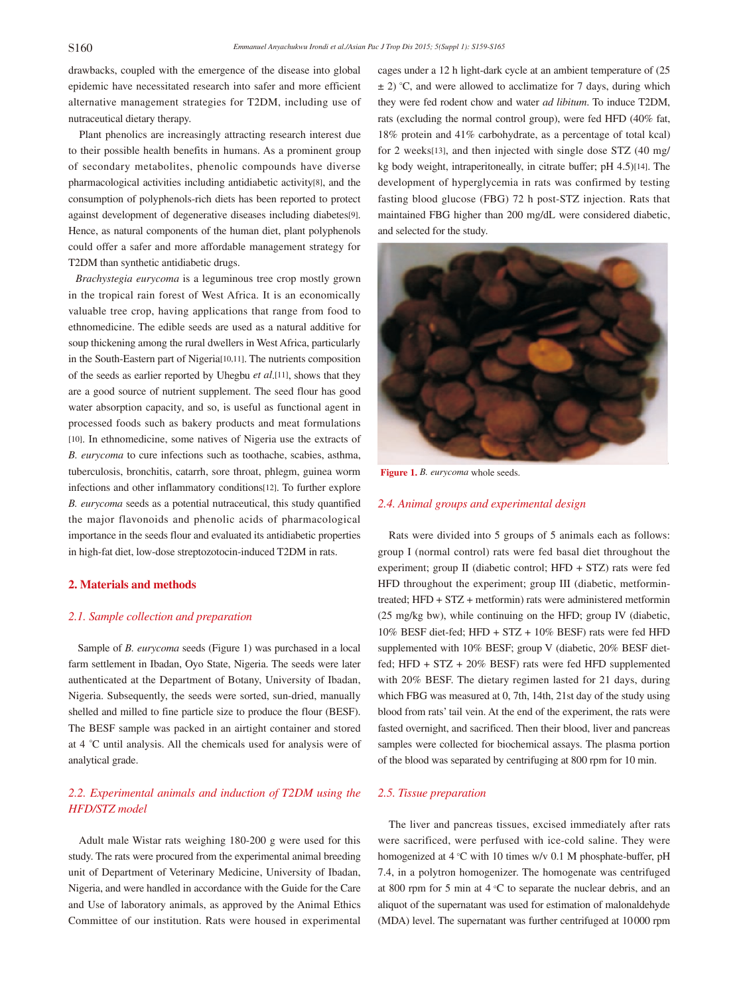drawbacks, coupled with the emergence of the disease into global epidemic have necessitated research into safer and more efficient alternative management strategies for T2DM, including use of nutraceutical dietary therapy.

 Plant phenolics are increasingly attracting research interest due to their possible health benefits in humans. As a prominent group of secondary metabolites, phenolic compounds have diverse pharmacological activities including antidiabetic activity[8], and the consumption of polyphenols-rich diets has been reported to protect against development of degenerative diseases including diabetes[9]. Hence, as natural components of the human diet, plant polyphenols could offer a safer and more affordable management strategy for T2DM than synthetic antidiabetic drugs.

 *Brachystegia eurycoma* is a leguminous tree crop mostly grown in the tropical rain forest of West Africa. It is an economically valuable tree crop, having applications that range from food to ethnomedicine. The edible seeds are used as a natural additive for soup thickening among the rural dwellers in West Africa, particularly in the South-Eastern part of Nigeria[10,11]. The nutrients composition of the seeds as earlier reported by Uhegbu *et al*.[11], shows that they are a good source of nutrient supplement. The seed flour has good water absorption capacity, and so, is useful as functional agent in processed foods such as bakery products and meat formulations [10]. In ethnomedicine, some natives of Nigeria use the extracts of *B. eurycoma* to cure infections such as toothache, scabies, asthma, tuberculosis, bronchitis, catarrh, sore throat, phlegm, guinea worm infections and other inflammatory conditions[12]. To further explore *B. eurycoma* seeds as a potential nutraceutical, this study quantified the major flavonoids and phenolic acids of pharmacological importance in the seeds flour and evaluated its antidiabetic properties in high-fat diet, low-dose streptozotocin-induced T2DM in rats.

# **2. Materials and methods**

## *2.1. Sample collection and preparation*

 Sample of *B. eurycoma* seeds (Figure 1) was purchased in a local farm settlement in Ibadan, Oyo State, Nigeria. The seeds were later authenticated at the Department of Botany, University of Ibadan, Nigeria. Subsequently, the seeds were sorted, sun-dried, manually shelled and milled to fine particle size to produce the flour (BESF). The BESF sample was packed in an airtight container and stored at 4 *°*C until analysis. All the chemicals used for analysis were of analytical grade.

# *2.2. Experimental animals and induction of T2DM using the HFD/STZ model*

 Adult male Wistar rats weighing 180-200 g were used for this study. The rats were procured from the experimental animal breeding unit of Department of Veterinary Medicine, University of Ibadan, Nigeria, and were handled in accordance with the Guide for the Care and Use of laboratory animals, as approved by the Animal Ethics Committee of our institution. Rats were housed in experimental

cages under a 12 h light-dark cycle at an ambient temperature of (25  $\pm$  2) °C, and were allowed to acclimatize for 7 days, during which they were fed rodent chow and water *ad libitum*. To induce T2DM, rats (excluding the normal control group), were fed HFD (40% fat, 18% protein and 41% carbohydrate, as a percentage of total kcal) for 2 weeks[13], and then injected with single dose STZ (40 mg/ kg body weight, intraperitoneally, in citrate buffer; pH 4.5)[14]. The development of hyperglycemia in rats was confirmed by testing fasting blood glucose (FBG) 72 h post-STZ injection. Rats that maintained FBG higher than 200 mg/dL were considered diabetic, and selected for the study.



**Figure 1.** *B. eurycoma* whole seeds.

## *2.4. Animal groups and experimental design*

 Rats were divided into 5 groups of 5 animals each as follows: group I (normal control) rats were fed basal diet throughout the experiment; group II (diabetic control; HFD + STZ) rats were fed HFD throughout the experiment; group III (diabetic, metformintreated; HFD + STZ + metformin) rats were administered metformin (25 mg/kg bw), while continuing on the HFD; group IV (diabetic, 10% BESF diet-fed; HFD + STZ + 10% BESF) rats were fed HFD supplemented with 10% BESF; group V (diabetic, 20% BESF dietfed; HFD + STZ + 20% BESF) rats were fed HFD supplemented with 20% BESF. The dietary regimen lasted for 21 days, during which FBG was measured at 0, 7th, 14th, 21st day of the study using blood from rats' tail vein. At the end of the experiment, the rats were fasted overnight, and sacrificed. Then their blood, liver and pancreas samples were collected for biochemical assays. The plasma portion of the blood was separated by centrifuging at 800 rpm for 10 min.

# *2.5. Tissue preparation*

 The liver and pancreas tissues, excised immediately after rats were sacrificed, were perfused with ice-cold saline. They were homogenized at 4 °C with 10 times w/v 0.1 M phosphate-buffer, pH 7.4, in a polytron homogenizer. The homogenate was centrifuged at 800 rpm for 5 min at 4 °C to separate the nuclear debris, and an aliquot of the supernatant was used for estimation of malonaldehyde (MDA) level. The supernatant was further centrifuged at 10000 rpm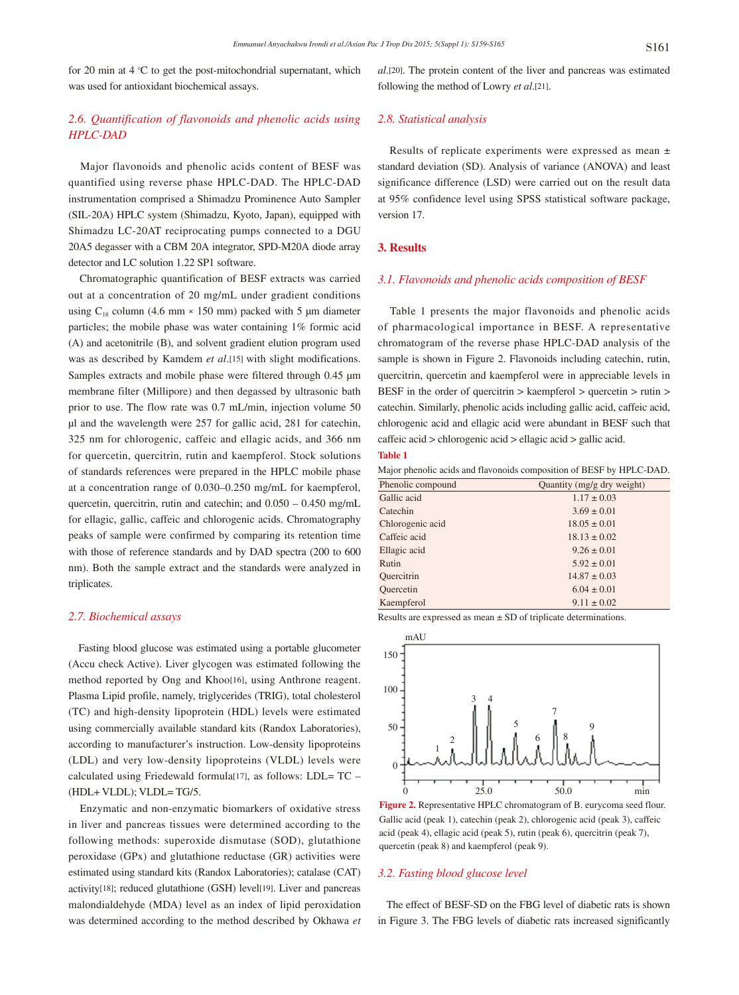for 20 min at 4 °C to get the post-mitochondrial supernatant, which was used for antioxidant biochemical assays.

# *2.6. Quantification of flavonoids and phenolic acids using HPLC-DAD*

 Major flavonoids and phenolic acids content of BESF was quantified using reverse phase HPLC-DAD. The HPLC-DAD instrumentation comprised a Shimadzu Prominence Auto Sampler (SIL-20A) HPLC system (Shimadzu, Kyoto, Japan), equipped with Shimadzu LC-20AT reciprocating pumps connected to a DGU 20A5 degasser with a CBM 20A integrator, SPD-M20A diode array detector and LC solution 1.22 SP1 software.

 Chromatographic quantification of BESF extracts was carried out at a concentration of 20 mg/mL under gradient conditions using  $C_{18}$  column (4.6 mm × 150 mm) packed with 5 µm diameter particles; the mobile phase was water containing 1% formic acid (A) and acetonitrile (B), and solvent gradient elution program used was as described by Kamdem *et al*.[15] with slight modifications. Samples extracts and mobile phase were filtered through 0.45 μm membrane filter (Millipore) and then degassed by ultrasonic bath prior to use. The flow rate was 0.7 mL/min, injection volume 50 μl and the wavelength were 257 for gallic acid, 281 for catechin, 325 nm for chlorogenic, caffeic and ellagic acids, and 366 nm for quercetin, quercitrin, rutin and kaempferol. Stock solutions of standards references were prepared in the HPLC mobile phase at a concentration range of 0.030–0.250 mg/mL for kaempferol, quercetin, quercitrin, rutin and catechin; and 0.050 – 0.450 mg/mL for ellagic, gallic, caffeic and chlorogenic acids. Chromatography peaks of sample were confirmed by comparing its retention time with those of reference standards and by DAD spectra (200 to 600 nm). Both the sample extract and the standards were analyzed in triplicates.

## *2.7. Biochemical assays*

 Fasting blood glucose was estimated using a portable glucometer (Accu check Active). Liver glycogen was estimated following the method reported by Ong and Khoo[16], using Anthrone reagent. Plasma Lipid profile, namely, triglycerides (TRIG), total cholesterol (TC) and high-density lipoprotein (HDL) levels were estimated using commercially available standard kits (Randox Laboratories), according to manufacturer's instruction. Low-density lipoproteins (LDL) and very low-density lipoproteins (VLDL) levels were calculated using Friedewald formula[17], as follows: LDL= TC – (HDL+ VLDL); VLDL= TG/5.

 Enzymatic and non-enzymatic biomarkers of oxidative stress in liver and pancreas tissues were determined according to the following methods: superoxide dismutase (SOD), glutathione peroxidase (GPx) and glutathione reductase (GR) activities were estimated using standard kits (Randox Laboratories); catalase (CAT) activity[18]; reduced glutathione (GSH) level[19]. Liver and pancreas malondialdehyde (MDA) level as an index of lipid peroxidation was determined according to the method described by Okhawa *et*  *al*.[20]. The protein content of the liver and pancreas was estimated following the method of Lowry *et al*.[21].

# *2.8. Statistical analysis*

 Results of replicate experiments were expressed as mean ± standard deviation (SD). Analysis of variance (ANOVA) and least significance difference (LSD) were carried out on the result data at 95% confidence level using SPSS statistical software package, version 17.

#### **3. Results**

### *3.1. Flavonoids and phenolic acids composition of BESF*

 Table 1 presents the major flavonoids and phenolic acids of pharmacological importance in BESF. A representative chromatogram of the reverse phase HPLC-DAD analysis of the sample is shown in Figure 2. Flavonoids including catechin, rutin, quercitrin, quercetin and kaempferol were in appreciable levels in BESF in the order of quercitrin > kaempferol > quercetin > rutin > catechin. Similarly, phenolic acids including gallic acid, caffeic acid, chlorogenic acid and ellagic acid were abundant in BESF such that caffeic acid > chlorogenic acid > ellagic acid > gallic acid. **Table 1**

Major phenolic acids and flavonoids composition of BESF by HPLC-DAD.

| Phenolic compound | Quantity (mg/g dry weight) |
|-------------------|----------------------------|
| Gallic acid       | $1.17 \pm 0.03$            |
| Catechin          | $3.69 \pm 0.01$            |
| Chlorogenic acid  | $18.05 \pm 0.01$           |
| Caffeic acid      | $18.13 \pm 0.02$           |
| Ellagic acid      | $9.26 \pm 0.01$            |
| Rutin             | $5.92 \pm 0.01$            |
| Quercitrin        | $14.87 \pm 0.03$           |
| Quercetin         | $6.04 \pm 0.01$            |
| Kaempferol        | $9.11 \pm 0.02$            |

Results are expressed as mean ± SD of triplicate determinations.



**Figure 2.** Representative HPLC chromatogram of B. eurycoma seed flour. Gallic acid (peak 1), catechin (peak 2), chlorogenic acid (peak 3), caffeic acid (peak 4), ellagic acid (peak 5), rutin (peak 6), quercitrin (peak 7), quercetin (peak 8) and kaempferol (peak 9).

#### *3.2. Fasting blood glucose level*

 The effect of BESF-SD on the FBG level of diabetic rats is shown in Figure 3. The FBG levels of diabetic rats increased significantly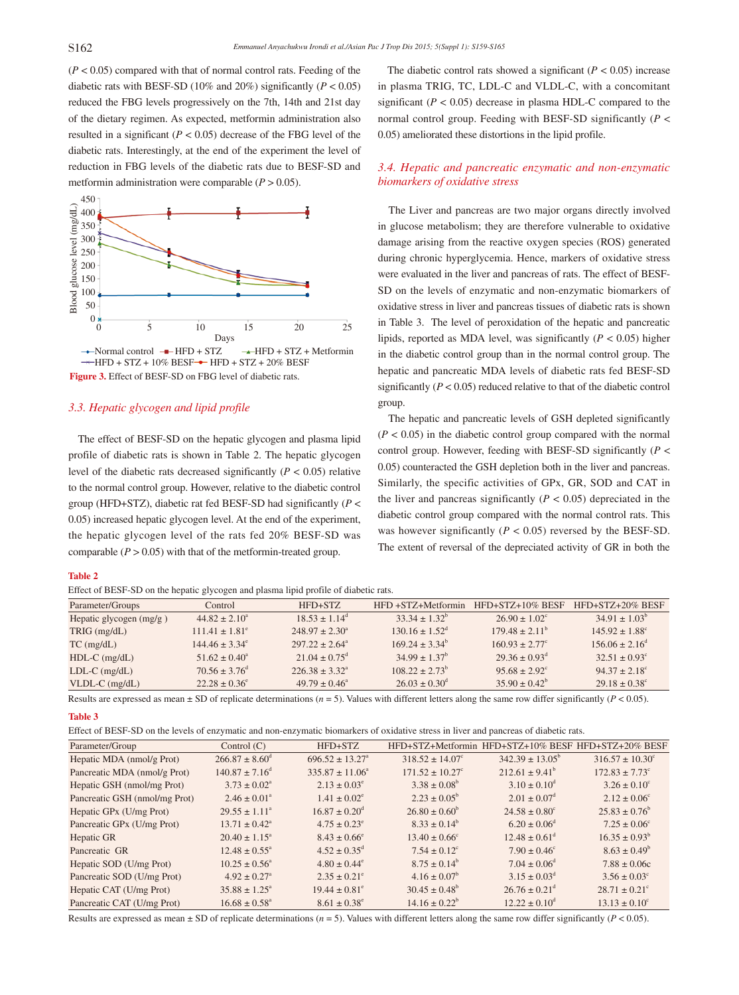$(P < 0.05)$  compared with that of normal control rats. Feeding of the diabetic rats with BESF-SD (10% and 20%) significantly  $(P < 0.05)$ reduced the FBG levels progressively on the 7th, 14th and 21st day of the dietary regimen. As expected, metformin administration also resulted in a significant  $(P < 0.05)$  decrease of the FBG level of the diabetic rats. Interestingly, at the end of the experiment the level of reduction in FBG levels of the diabetic rats due to BESF-SD and metformin administration were comparable  $(P > 0.05)$ .



# *3.3. Hepatic glycogen and lipid profile*

 The effect of BESF-SD on the hepatic glycogen and plasma lipid profile of diabetic rats is shown in Table 2. The hepatic glycogen level of the diabetic rats decreased significantly  $(P < 0.05)$  relative to the normal control group. However, relative to the diabetic control group (HFD+STZ), diabetic rat fed BESF-SD had significantly (*P* < 0.05) increased hepatic glycogen level. At the end of the experiment, the hepatic glycogen level of the rats fed 20% BESF-SD was comparable  $(P > 0.05)$  with that of the metform in-treated group.

#### **Table 2**

|  | Effect of BESF-SD on the hepatic glycogen and plasma lipid profile of diabetic rats. |
|--|--------------------------------------------------------------------------------------|
|  |                                                                                      |

The diabetic control rats showed a significant  $(P < 0.05)$  increase in plasma TRIG, TC, LDL-C and VLDL-C, with a concomitant significant  $(P < 0.05)$  decrease in plasma HDL-C compared to the normal control group. Feeding with BESF-SD significantly (*P* < 0.05) ameliorated these distortions in the lipid profile.

# *3.4. Hepatic and pancreatic enzymatic and non-enzymatic biomarkers of oxidative stress*

 The Liver and pancreas are two major organs directly involved in glucose metabolism; they are therefore vulnerable to oxidative damage arising from the reactive oxygen species (ROS) generated during chronic hyperglycemia. Hence, markers of oxidative stress were evaluated in the liver and pancreas of rats. The effect of BESF-SD on the levels of enzymatic and non-enzymatic biomarkers of oxidative stress in liver and pancreas tissues of diabetic rats is shown in Table 3. The level of peroxidation of the hepatic and pancreatic lipids, reported as MDA level, was significantly  $(P < 0.05)$  higher in the diabetic control group than in the normal control group. The hepatic and pancreatic MDA levels of diabetic rats fed BESF-SD significantly  $(P < 0.05)$  reduced relative to that of the diabetic control group.

 The hepatic and pancreatic levels of GSH depleted significantly  $(P < 0.05)$  in the diabetic control group compared with the normal control group. However, feeding with BESF-SD significantly (*P* < 0.05) counteracted the GSH depletion both in the liver and pancreas. Similarly, the specific activities of GPx, GR, SOD and CAT in the liver and pancreas significantly  $(P < 0.05)$  depreciated in the diabetic control group compared with the normal control rats. This was however significantly  $(P < 0.05)$  reversed by the BESF-SD. The extent of reversal of the depreciated activity of GR in both the

| Parameter/Groups          | Control                       | HFD+STZ                       | HFD+STZ+Metformin         | $HFD+STZ+10\%$ BESF       | HFD+STZ+20% BESF          |  |  |
|---------------------------|-------------------------------|-------------------------------|---------------------------|---------------------------|---------------------------|--|--|
| Hepatic glycogen $(mg/g)$ | $44.82 \pm 2.10^a$            | $18.53 \pm 1.14^{\circ}$      | $33.34 + 1.32^b$          | $26.90 \pm 1.02^{\circ}$  | $34.91 \pm 1.03^b$        |  |  |
| TRIG (mg/dL)              | $111.41 \pm 1.81^e$           | $248.97 \pm 2.30^{\circ}$     | $130.16 \pm 1.52^{\circ}$ | $179.48 \pm 2.11^{\circ}$ | $145.92 \pm 1.88^{\circ}$ |  |  |
| $TC$ (mg/dL)              | $144.46 \pm 3.34^e$           | $297.22 \pm 2.64^{\circ}$     | $169.24 \pm 3.34^b$       | $160.93 \pm 2.77^{\circ}$ | $156.06 \pm 2.16^{\circ}$ |  |  |
| $HDL-C$ (mg/dL)           | $51.62 \pm 0.40^{\circ}$      | $21.04 \pm 0.75$ <sup>d</sup> | $34.99 \pm 1.37^b$        | $29.36 \pm 0.93^{\circ}$  | $32.51 \pm 0.93^{\circ}$  |  |  |
| $LDL-C$ (mg/dL)           | $70.56 \pm 3.76$ <sup>d</sup> | $22638 + 332^{\circ}$         | $10822 + 273^b$           | $95.68 \pm 2.92^{\circ}$  | $94.37 \pm 2.18^{\circ}$  |  |  |
| $VLDL-C$ (mg/dL)          | $22.28 \pm 0.36^{\circ}$      | $49.79 \pm 0.46^{\circ}$      | $26.03 \pm 0.30^{\circ}$  | $35.90 \pm 0.42^b$        | $29.18 \pm 0.38$ °        |  |  |

Results are expressed as mean  $\pm$  SD of replicate determinations ( $n = 5$ ). Values with different letters along the same row differ significantly ( $P < 0.05$ ).

#### **Table 3**

| Parameter/Group               | Control $(C)$                | HFD+STZ                         | HFD+STZ+Metformin               | HFD+STZ+10% BESF HFD+STZ+20% BESF |                                |
|-------------------------------|------------------------------|---------------------------------|---------------------------------|-----------------------------------|--------------------------------|
| Hepatic MDA (nmol/g Prot)     | $266.87 \pm 8.60^{\circ}$    | $696.52 \pm 13.27$ <sup>a</sup> | $318.52 \pm 14.07^{\circ}$      | $342.39 \pm 13.05^{\circ}$        | $316.57 \pm 10.30^{\circ}$     |
| Pancreatic MDA (nmol/g Prot)  | $140.87 \pm 7.16^{\circ}$    | $335.87 \pm 11.06^a$            | $171.52 \pm 10.27$ <sup>c</sup> | $212.61 \pm 9.41^b$               | $172.83 \pm 7.73$ <sup>c</sup> |
| Hepatic GSH (nmol/mg Prot)    | $3.73 \pm 0.02^{\circ}$      | $2.13 \pm 0.03^{\circ}$         | $3.38 \pm 0.08^b$               | $3.10 \pm 0.10^{\text{d}}$        | $3.26 \pm 0.10^{\circ}$        |
| Pancreatic GSH (nmol/mg Prot) | $2.46 \pm 0.01^{\circ}$      | $1.41 \pm 0.02^e$               | $2.23 \pm 0.05^{\circ}$         | $2.01 \pm 0.07^{\text{d}}$        | $2.12 \pm 0.06^{\circ}$        |
| Hepatic GPx (U/mg Prot)       | $29.55 \pm 1.11^{\circ}$     | $16.87 \pm 0.20^{\circ}$        | $26.80 \pm 0.60^b$              | $24.58 \pm 0.80^{\circ}$          | $25.83 \pm 0.76^b$             |
| Pancreatic GPx (U/mg Prot)    | $13.71 \pm 0.42^{\circ}$     | $4.75 \pm 0.23^{\circ}$         | $8.33 \pm 0.14^b$               | $6.20 \pm 0.06^{\circ}$           | $7.25 \pm 0.06^{\circ}$        |
| Hepatic GR                    | $20.40 \pm 1.15^{\circ}$     | $8.43 \pm 0.66^{\circ}$         | $13.40 \pm 0.66^{\circ}$        | $12.48 \pm 0.61$ <sup>d</sup>     | $16.35 \pm 0.93^b$             |
| Pancreatic GR                 | $12.48 \pm 0.55^{\circ}$     | $4.52 \pm 0.35^{\circ}$         | $7.54 \pm 0.12^{\circ}$         | $7.90 \pm 0.46^{\circ}$           | $8.63 \pm 0.49^b$              |
| Hepatic SOD (U/mg Prot)       | $10.25 \pm 0.56^{\circ}$     | $4.80 \pm 0.44^{\circ}$         | $8.75 \pm 0.14^b$               | $7.04 \pm 0.06^{\circ}$           | $7.88 \pm 0.06c$               |
| Pancreatic SOD (U/mg Prot)    | $4.92 \pm 0.27$ <sup>a</sup> | $2.35 \pm 0.21^{\circ}$         | $4.16 \pm 0.07^b$               | $3.15 \pm 0.03^{\text{d}}$        | $3.56 \pm 0.03^{\circ}$        |
| Hepatic CAT (U/mg Prot)       | $35.88 \pm 1.25^{\circ}$     | $19.44 \pm 0.81^{\circ}$        | $30.45 \pm 0.48^{\circ}$        | $26.76 \pm 0.21$ <sup>d</sup>     | $28.71 \pm 0.21^{\circ}$       |
| Pancreatic CAT (U/mg Prot)    | $16.68 \pm 0.58^{\circ}$     | $8.61 \pm 0.38^{\circ}$         | $14.16 \pm 0.22^b$              | $12.22 \pm 0.10^{\circ}$          | $13.13 \pm 0.10^{\circ}$       |

Results are expressed as mean  $\pm$  SD of replicate determinations ( $n = 5$ ). Values with different letters along the same row differ significantly ( $P < 0.05$ ).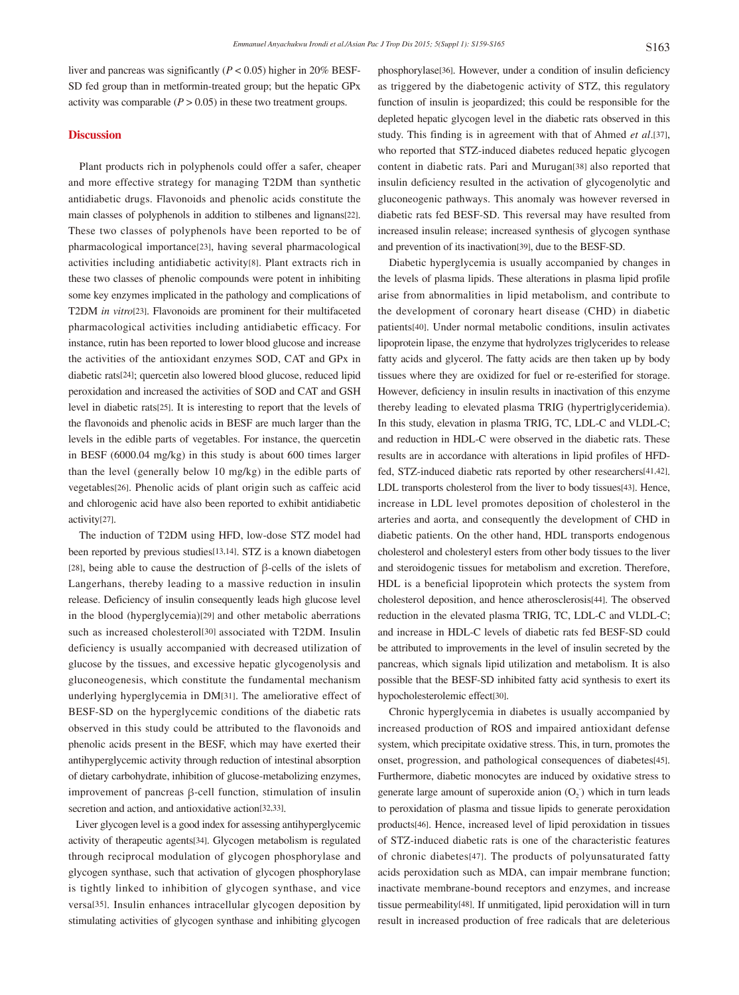liver and pancreas was significantly (*P* < 0.05) higher in 20% BESF-SD fed group than in metformin-treated group; but the hepatic GPx activity was comparable  $(P > 0.05)$  in these two treatment groups.

## **Discussion**

 Plant products rich in polyphenols could offer a safer, cheaper and more effective strategy for managing T2DM than synthetic antidiabetic drugs. Flavonoids and phenolic acids constitute the main classes of polyphenols in addition to stilbenes and lignans[22]. These two classes of polyphenols have been reported to be of pharmacological importance[23], having several pharmacological activities including antidiabetic activity[8]. Plant extracts rich in these two classes of phenolic compounds were potent in inhibiting some key enzymes implicated in the pathology and complications of T2DM *in vitro*[23]. Flavonoids are prominent for their multifaceted pharmacological activities including antidiabetic efficacy. For instance, rutin has been reported to lower blood glucose and increase the activities of the antioxidant enzymes SOD, CAT and GPx in diabetic rats[24]; quercetin also lowered blood glucose, reduced lipid peroxidation and increased the activities of SOD and CAT and GSH level in diabetic rats[25]. It is interesting to report that the levels of the flavonoids and phenolic acids in BESF are much larger than the levels in the edible parts of vegetables. For instance, the quercetin in BESF (6000.04 mg/kg) in this study is about 600 times larger than the level (generally below 10 mg/kg) in the edible parts of vegetables[26]. Phenolic acids of plant origin such as caffeic acid and chlorogenic acid have also been reported to exhibit antidiabetic activity[27].

 The induction of T2DM using HFD, low-dose STZ model had been reported by previous studies[13,14]. STZ is a known diabetogen [28], being able to cause the destruction of β-cells of the islets of Langerhans, thereby leading to a massive reduction in insulin release. Deficiency of insulin consequently leads high glucose level in the blood (hyperglycemia)[29] and other metabolic aberrations such as increased cholesterol[30] associated with T2DM. Insulin deficiency is usually accompanied with decreased utilization of glucose by the tissues, and excessive hepatic glycogenolysis and gluconeogenesis, which constitute the fundamental mechanism underlying hyperglycemia in DM[31]. The ameliorative effect of BESF-SD on the hyperglycemic conditions of the diabetic rats observed in this study could be attributed to the flavonoids and phenolic acids present in the BESF, which may have exerted their antihyperglycemic activity through reduction of intestinal absorption of dietary carbohydrate, inhibition of glucose-metabolizing enzymes, improvement of pancreas β-cell function, stimulation of insulin secretion and action, and antioxidative action[32,33].

 Liver glycogen level is a good index for assessing antihyperglycemic activity of therapeutic agents[34]. Glycogen metabolism is regulated through reciprocal modulation of glycogen phosphorylase and glycogen synthase, such that activation of glycogen phosphorylase is tightly linked to inhibition of glycogen synthase, and vice versa[35]. Insulin enhances intracellular glycogen deposition by stimulating activities of glycogen synthase and inhibiting glycogen

phosphorylase[36]. However, under a condition of insulin deficiency as triggered by the diabetogenic activity of STZ, this regulatory function of insulin is jeopardized; this could be responsible for the depleted hepatic glycogen level in the diabetic rats observed in this study. This finding is in agreement with that of Ahmed *et al*.[37], who reported that STZ-induced diabetes reduced hepatic glycogen content in diabetic rats. Pari and Murugan[38] also reported that insulin deficiency resulted in the activation of glycogenolytic and gluconeogenic pathways. This anomaly was however reversed in diabetic rats fed BESF-SD. This reversal may have resulted from increased insulin release; increased synthesis of glycogen synthase and prevention of its inactivation[39], due to the BESF-SD.

 Diabetic hyperglycemia is usually accompanied by changes in the levels of plasma lipids. These alterations in plasma lipid profile arise from abnormalities in lipid metabolism, and contribute to the development of coronary heart disease (CHD) in diabetic patients[40]. Under normal metabolic conditions, insulin activates lipoprotein lipase, the enzyme that hydrolyzes triglycerides to release fatty acids and glycerol. The fatty acids are then taken up by body tissues where they are oxidized for fuel or re-esterified for storage. However, deficiency in insulin results in inactivation of this enzyme thereby leading to elevated plasma TRIG (hypertriglyceridemia). In this study, elevation in plasma TRIG, TC, LDL-C and VLDL-C; and reduction in HDL-C were observed in the diabetic rats. These results are in accordance with alterations in lipid profiles of HFDfed, STZ-induced diabetic rats reported by other researchers[41,42]. LDL transports cholesterol from the liver to body tissues[43]. Hence, increase in LDL level promotes deposition of cholesterol in the arteries and aorta, and consequently the development of CHD in diabetic patients. On the other hand, HDL transports endogenous cholesterol and cholesteryl esters from other body tissues to the liver and steroidogenic tissues for metabolism and excretion. Therefore, HDL is a beneficial lipoprotein which protects the system from cholesterol deposition, and hence atherosclerosis[44]. The observed reduction in the elevated plasma TRIG, TC, LDL-C and VLDL-C; and increase in HDL-C levels of diabetic rats fed BESF-SD could be attributed to improvements in the level of insulin secreted by the pancreas, which signals lipid utilization and metabolism. It is also possible that the BESF-SD inhibited fatty acid synthesis to exert its hypocholesterolemic effect[30].

 Chronic hyperglycemia in diabetes is usually accompanied by increased production of ROS and impaired antioxidant defense system, which precipitate oxidative stress. This, in turn, promotes the onset, progression, and pathological consequences of diabetes[45]. Furthermore, diabetic monocytes are induced by oxidative stress to generate large amount of superoxide anion  $(O_2)$  which in turn leads to peroxidation of plasma and tissue lipids to generate peroxidation products[46]. Hence, increased level of lipid peroxidation in tissues of STZ-induced diabetic rats is one of the characteristic features of chronic diabetes[47]. The products of polyunsaturated fatty acids peroxidation such as MDA, can impair membrane function; inactivate membrane-bound receptors and enzymes, and increase tissue permeability[48]. If unmitigated, lipid peroxidation will in turn result in increased production of free radicals that are deleterious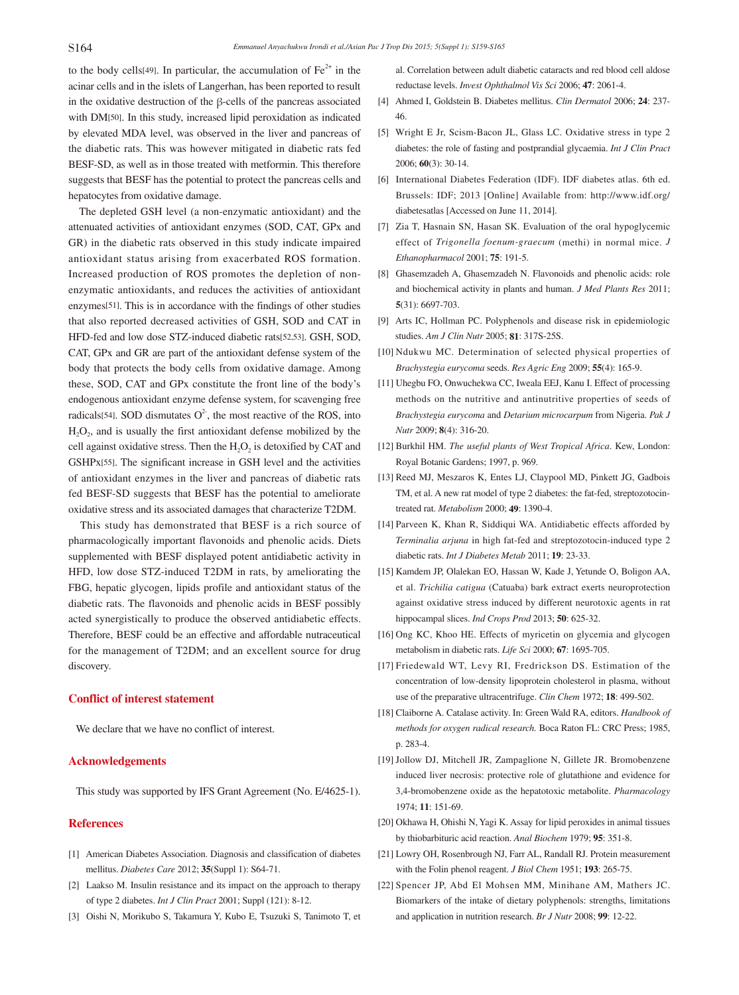to the body cells<sup>[49]</sup>. In particular, the accumulation of  $Fe<sup>2+</sup>$  in the acinar cells and in the islets of Langerhan, has been reported to result in the oxidative destruction of the β-cells of the pancreas associated with DM[50]. In this study, increased lipid peroxidation as indicated by elevated MDA level, was observed in the liver and pancreas of the diabetic rats. This was however mitigated in diabetic rats fed BESF-SD, as well as in those treated with metformin. This therefore suggests that BESF has the potential to protect the pancreas cells and hepatocytes from oxidative damage.

 The depleted GSH level (a non-enzymatic antioxidant) and the attenuated activities of antioxidant enzymes (SOD, CAT, GPx and GR) in the diabetic rats observed in this study indicate impaired antioxidant status arising from exacerbated ROS formation. Increased production of ROS promotes the depletion of nonenzymatic antioxidants, and reduces the activities of antioxidant enzymes[51]. This is in accordance with the findings of other studies that also reported decreased activities of GSH, SOD and CAT in HFD-fed and low dose STZ-induced diabetic rats[52,53]. GSH, SOD, CAT, GPx and GR are part of the antioxidant defense system of the body that protects the body cells from oxidative damage. Among these, SOD, CAT and GPx constitute the front line of the body's endogenous antioxidant enzyme defense system, for scavenging free radicals<sup>[54]</sup>. SOD dismutates  $O^2$ , the most reactive of the ROS, into  $H<sub>2</sub>O<sub>2</sub>$ , and is usually the first antioxidant defense mobilized by the cell against oxidative stress. Then the  $H_2O_2$  is detoxified by CAT and GSHPx[55]. The significant increase in GSH level and the activities of antioxidant enzymes in the liver and pancreas of diabetic rats fed BESF-SD suggests that BESF has the potential to ameliorate oxidative stress and its associated damages that characterize T2DM.

 This study has demonstrated that BESF is a rich source of pharmacologically important flavonoids and phenolic acids. Diets supplemented with BESF displayed potent antidiabetic activity in HFD, low dose STZ-induced T2DM in rats, by ameliorating the FBG, hepatic glycogen, lipids profile and antioxidant status of the diabetic rats. The flavonoids and phenolic acids in BESF possibly acted synergistically to produce the observed antidiabetic effects. Therefore, BESF could be an effective and affordable nutraceutical for the management of T2DM; and an excellent source for drug discovery.

#### **Conflict of interest statement**

We declare that we have no conflict of interest.

## **Acknowledgements**

This study was supported by IFS Grant Agreement (No. E/4625-1).

# **References**

- [1] American Diabetes Association. Diagnosis and classification of diabetes mellitus. *Diabetes Care* 2012; **35**(Suppl 1): S64-71.
- [2] Laakso M. Insulin resistance and its impact on the approach to therapy of type 2 diabetes. *Int J Clin Pract* 2001; Suppl (121): 8-12.
- [3] Oishi N, Morikubo S, Takamura Y, Kubo E, Tsuzuki S, Tanimoto T, et

al. Correlation between adult diabetic cataracts and red blood cell aldose reductase levels. *Invest Ophthalmol Vis Sci* 2006; **47**: 2061-4.

- [4] Ahmed I, Goldstein B. Diabetes mellitus. *Clin Dermatol* 2006; **24**: 237*-* 46.
- [5] Wright E Jr, Scism-Bacon JL, Glass LC. Oxidative stress in type 2 diabetes: the role of fasting and postprandial glycaemia. *Int J Clin Pract*  2006; **60**(3): 30-14.
- [6] International Diabetes Federation (IDF). IDF diabetes atlas. 6th ed. Brussels: IDF; 2013 [Online] Available from: http://www.idf.org/ diabetesatlas [Accessed on June 11, 2014].
- [7] Zia T, Hasnain SN, Hasan SK. Evaluation of the oral hypoglycemic effect of *Trigonella foenum-graecum* (methi) in normal mice. *J Ethanopharmacol* 2001; **75**: 191-5.
- [8] Ghasemzadeh A, Ghasemzadeh N. Flavonoids and phenolic acids: role and biochemical activity in plants and human. *J Med Plants Res* 2011; **5**(31): 6697-703.
- [9] Arts IC, Hollman PC. Polyphenols and disease risk in epidemiologic studies. *Am J Clin Nutr* 2005; **81**: 317S-25S.
- [10] Ndukwu MC. Determination of selected physical properties of *Brachystegia eurycoma* seeds. *Res Agric Eng* 2009; **55**(4): 165-9.
- [11] Uhegbu FO, Onwuchekwa CC, Iweala EEJ, Kanu I. Effect of processing methods on the nutritive and antinutritive properties of seeds of *Brachystegia eurycoma* and *Detarium microcarpum* from Nigeria. *Pak J Nutr* 2009; **8**(4): 316-20.
- [12] Burkhil HM. *The useful plants of West Tropical Africa*. Kew, London: Royal Botanic Gardens; 1997, p. 969.
- [13] Reed MJ, Meszaros K, Entes LJ, Claypool MD, Pinkett JG, Gadbois TM, et al. A new rat model of type 2 diabetes: the fat-fed, streptozotocintreated rat. *Metabolism* 2000; **49**: 1390-4.
- [14] Parveen K, Khan R, Siddiqui WA. Antidiabetic effects afforded by *Terminalia arjuna* in high fat-fed and streptozotocin-induced type 2 diabetic rats. *Int J Diabetes Metab* 2011; **19**: 23-33.
- [15] Kamdem JP, Olalekan EO, Hassan W, Kade J, Yetunde O, Boligon AA, et al. *Trichilia catigua* (Catuaba) bark extract exerts neuroprotection against oxidative stress induced by different neurotoxic agents in rat hippocampal slices. *Ind Crops Prod* 2013; **50**: 625-32.
- [16] Ong KC, Khoo HE. Effects of myricetin on glycemia and glycogen metabolism in diabetic rats. *Life Sci* 2000; **67**: 1695-705.
- [17] Friedewald WT, Levy RI, Fredrickson DS. Estimation of the concentration of low-density lipoprotein cholesterol in plasma, without use of the preparative ultracentrifuge. *Clin Chem* 1972; **18**: 499-502.
- [18] Claiborne A. Catalase activity. In: Green Wald RA, editors. *Handbook of methods for oxygen radical research.* Boca Raton FL: CRC Press; 1985, p. 283-4.
- [19] Jollow DJ, Mitchell JR, Zampaglione N, Gillete JR. Bromobenzene induced liver necrosis: protective role of glutathione and evidence for 3,4-bromobenzene oxide as the hepatotoxic metabolite. *Pharmacology* 1974; **11**: 151-69.
- [20] Okhawa H, Ohishi N, Yagi K. Assay for lipid peroxides in animal tissues by thiobarbituric acid reaction. *Anal Biochem* 1979; **95**: 351-8.
- [21] Lowry OH, Rosenbrough NJ, Farr AL, Randall RJ. Protein measurement with the Folin phenol reagent. *J Biol Chem* 1951; **193**: 265-75.
- [22] Spencer JP, Abd El Mohsen MM, Minihane AM, Mathers JC. Biomarkers of the intake of dietary polyphenols: strengths, limitations and application in nutrition research. *Br J Nutr* 2008; **99**: 12-22.